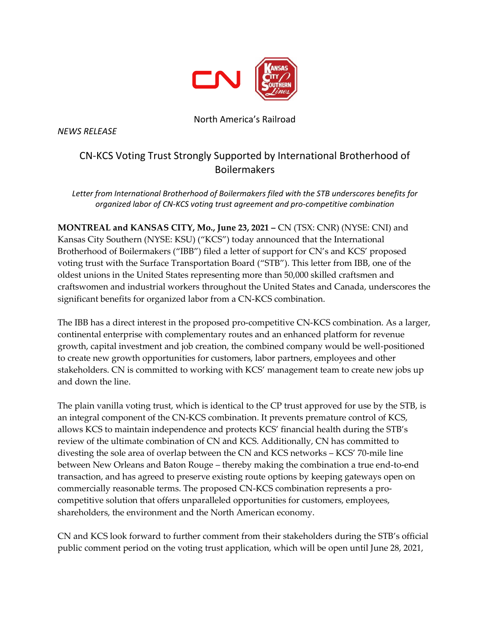

## North America's Railroad

*NEWS RELEASE*

# CN-KCS Voting Trust Strongly Supported by International Brotherhood of Boilermakers

*Letter from International Brotherhood of Boilermakers filed with the STB underscores benefits for organized labor of CN-KCS voting trust agreement and pro-competitive combination*

**MONTREAL and KANSAS CITY, Mo., June 23, 2021 –** CN (TSX: CNR) (NYSE: CNI) and Kansas City Southern (NYSE: KSU) ("KCS") today announced that the International Brotherhood of Boilermakers ("IBB") filed a letter of support for CN's and KCS' proposed voting trust with the Surface Transportation Board ("STB"). This letter from IBB, one of the oldest unions in the United States representing more than 50,000 skilled craftsmen and craftswomen and industrial workers throughout the United States and Canada, underscores the significant benefits for organized labor from a CN-KCS combination.

The IBB has a direct interest in the proposed pro-competitive CN-KCS combination. As a larger, continental enterprise with complementary routes and an enhanced platform for revenue growth, capital investment and job creation, the combined company would be well-positioned to create new growth opportunities for customers, labor partners, employees and other stakeholders. CN is committed to working with KCS' management team to create new jobs up and down the line.

The plain vanilla voting trust, which is identical to the CP trust approved for use by the STB, is an integral component of the CN-KCS combination. It prevents premature control of KCS, allows KCS to maintain independence and protects KCS' financial health during the STB's review of the ultimate combination of CN and KCS. Additionally, CN has committed to divesting the sole area of overlap between the CN and KCS networks – KCS' 70-mile line between New Orleans and Baton Rouge – thereby making the combination a true end-to-end transaction, and has agreed to preserve existing route options by keeping gateways open on commercially reasonable terms. The proposed CN-KCS combination represents a procompetitive solution that offers unparalleled opportunities for customers, employees, shareholders, the environment and the North American economy.

CN and KCS look forward to further comment from their stakeholders during the STB's official public comment period on the voting trust application, which will be open until June 28, 2021,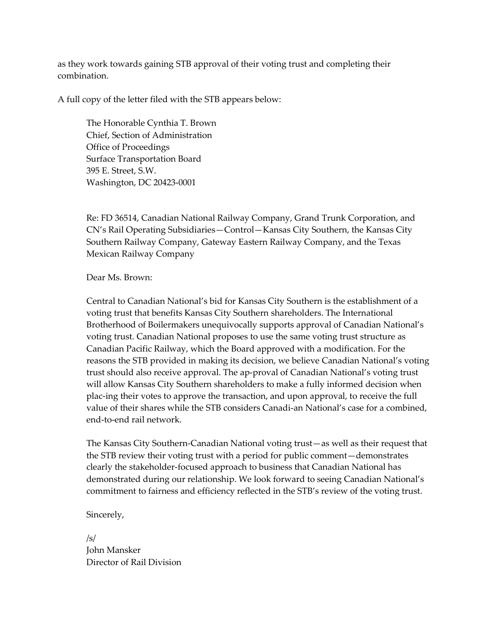as they work towards gaining STB approval of their voting trust and completing their combination.

A full copy of the letter filed with the STB appears below:

The Honorable Cynthia T. Brown Chief, Section of Administration Office of Proceedings Surface Transportation Board 395 E. Street, S.W. Washington, DC 20423-0001

Re: FD 36514, Canadian National Railway Company, Grand Trunk Corporation, and CN's Rail Operating Subsidiaries—Control—Kansas City Southern, the Kansas City Southern Railway Company, Gateway Eastern Railway Company, and the Texas Mexican Railway Company

Dear Ms. Brown:

Central to Canadian National's bid for Kansas City Southern is the establishment of a voting trust that benefits Kansas City Southern shareholders. The International Brotherhood of Boilermakers unequivocally supports approval of Canadian National's voting trust. Canadian National proposes to use the same voting trust structure as Canadian Pacific Railway, which the Board approved with a modification. For the reasons the STB provided in making its decision, we believe Canadian National's voting trust should also receive approval. The ap-proval of Canadian National's voting trust will allow Kansas City Southern shareholders to make a fully informed decision when plac-ing their votes to approve the transaction, and upon approval, to receive the full value of their shares while the STB considers Canadi-an National's case for a combined, end-to-end rail network.

The Kansas City Southern-Canadian National voting trust—as well as their request that the STB review their voting trust with a period for public comment—demonstrates clearly the stakeholder-focused approach to business that Canadian National has demonstrated during our relationship. We look forward to seeing Canadian National's commitment to fairness and efficiency reflected in the STB's review of the voting trust.

#### Sincerely,

/s/ John Mansker Director of Rail Division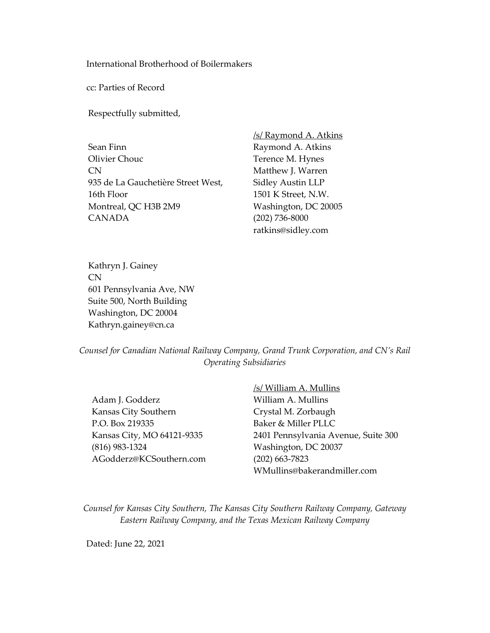International Brotherhood of Boilermakers

cc: Parties of Record

Respectfully submitted,

Sean Finn Olivier Chouc CN 935 de La Gauchetière Street West, 16th Floor Montreal, QC H3B 2M9 CANADA

/s/ Raymond A. Atkins Raymond A. Atkins Terence M. Hynes Matthew J. Warren Sidley Austin LLP 1501 K Street, N.W. Washington, DC 20005 (202) 736-8000 ratkins@sidley.com

Kathryn J. Gainey CN 601 Pennsylvania Ave, NW Suite 500, North Building Washington, DC 20004 Kathryn.gainey@cn.ca

*Counsel for Canadian National Railway Company, Grand Trunk Corporation, and CN's Rail Operating Subsidiaries*

Adam J. Godderz Kansas City Southern P.O. Box 219335 Kansas City, MO 64121-9335 (816) 983-1324 AGodderz@KCSouthern.com /s/ William A. Mullins William A. Mullins Crystal M. Zorbaugh Baker & Miller PLLC 2401 Pennsylvania Avenue, Suite 300 Washington, DC 20037 (202) 663-7823 WMullins@bakerandmiller.com

*Counsel for Kansas City Southern, The Kansas City Southern Railway Company, Gateway Eastern Railway Company, and the Texas Mexican Railway Company*

Dated: June 22, 2021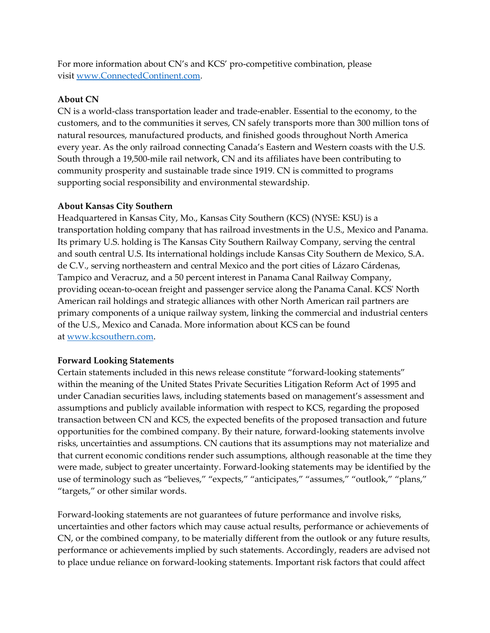For more information about CN's and KCS' pro-competitive combination, please visit [www.ConnectedContinent.com.](https://www.globenewswire.com/Tracker?data=9OsEqPlmhh8tsCm7fCuvhJRRr9e0eeDYOzfb9SFXzqeu3ci2BSD9wdUiSwv8CC2X3SUiyw3uD1y1MRCPpuHD4D2lNeGykU719wRfJk0YABoT3EZkMhUvmIel9-diS8yv)

# **About CN**

CN is a world-class transportation leader and trade-enabler. Essential to the economy, to the customers, and to the communities it serves, CN safely transports more than 300 million tons of natural resources, manufactured products, and finished goods throughout North America every year. As the only railroad connecting Canada's Eastern and Western coasts with the U.S. South through a 19,500-mile rail network, CN and its affiliates have been contributing to community prosperity and sustainable trade since 1919. CN is committed to programs supporting social responsibility and environmental stewardship.

# **About Kansas City Southern**

Headquartered in Kansas City, Mo., Kansas City Southern (KCS) (NYSE: KSU) is a transportation holding company that has railroad investments in the U.S., Mexico and Panama. Its primary U.S. holding is The Kansas City Southern Railway Company, serving the central and south central U.S. Its international holdings include Kansas City Southern de Mexico, S.A. de C.V., serving northeastern and central Mexico and the port cities of Lázaro Cárdenas, Tampico and Veracruz, and a 50 percent interest in Panama Canal Railway Company, providing ocean-to-ocean freight and passenger service along the Panama Canal. KCS' North American rail holdings and strategic alliances with other North American rail partners are primary components of a unique railway system, linking the commercial and industrial centers of the U.S., Mexico and Canada. More information about KCS can be found at [www.kcsouthern.com.](https://www.globenewswire.com/Tracker?data=CJLjZWkvYgrdr7peArZP8vac1U8vHW4lLEFcV48eMPSZU7C30aWtjKrkptuBS5UGzTtijThVtErud6oTuJajXViKy9wC2-6fV4XZRNQZlow=)

# **Forward Looking Statements**

Certain statements included in this news release constitute "forward-looking statements" within the meaning of the United States Private Securities Litigation Reform Act of 1995 and under Canadian securities laws, including statements based on management's assessment and assumptions and publicly available information with respect to KCS, regarding the proposed transaction between CN and KCS, the expected benefits of the proposed transaction and future opportunities for the combined company. By their nature, forward-looking statements involve risks, uncertainties and assumptions. CN cautions that its assumptions may not materialize and that current economic conditions render such assumptions, although reasonable at the time they were made, subject to greater uncertainty. Forward-looking statements may be identified by the use of terminology such as "believes," "expects," "anticipates," "assumes," "outlook," "plans," "targets," or other similar words.

Forward-looking statements are not guarantees of future performance and involve risks, uncertainties and other factors which may cause actual results, performance or achievements of CN, or the combined company, to be materially different from the outlook or any future results, performance or achievements implied by such statements. Accordingly, readers are advised not to place undue reliance on forward-looking statements. Important risk factors that could affect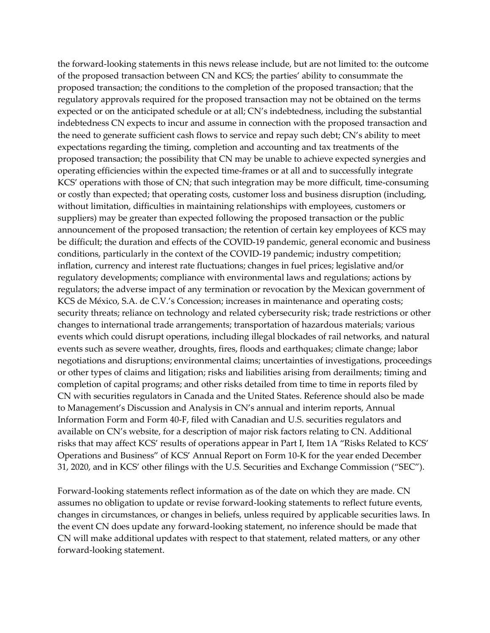the forward-looking statements in this news release include, but are not limited to: the outcome of the proposed transaction between CN and KCS; the parties' ability to consummate the proposed transaction; the conditions to the completion of the proposed transaction; that the regulatory approvals required for the proposed transaction may not be obtained on the terms expected or on the anticipated schedule or at all; CN's indebtedness, including the substantial indebtedness CN expects to incur and assume in connection with the proposed transaction and the need to generate sufficient cash flows to service and repay such debt; CN's ability to meet expectations regarding the timing, completion and accounting and tax treatments of the proposed transaction; the possibility that CN may be unable to achieve expected synergies and operating efficiencies within the expected time-frames or at all and to successfully integrate KCS' operations with those of CN; that such integration may be more difficult, time-consuming or costly than expected; that operating costs, customer loss and business disruption (including, without limitation, difficulties in maintaining relationships with employees, customers or suppliers) may be greater than expected following the proposed transaction or the public announcement of the proposed transaction; the retention of certain key employees of KCS may be difficult; the duration and effects of the COVID-19 pandemic, general economic and business conditions, particularly in the context of the COVID-19 pandemic; industry competition; inflation, currency and interest rate fluctuations; changes in fuel prices; legislative and/or regulatory developments; compliance with environmental laws and regulations; actions by regulators; the adverse impact of any termination or revocation by the Mexican government of KCS de México, S.A. de C.V.'s Concession; increases in maintenance and operating costs; security threats; reliance on technology and related cybersecurity risk; trade restrictions or other changes to international trade arrangements; transportation of hazardous materials; various events which could disrupt operations, including illegal blockades of rail networks, and natural events such as severe weather, droughts, fires, floods and earthquakes; climate change; labor negotiations and disruptions; environmental claims; uncertainties of investigations, proceedings or other types of claims and litigation; risks and liabilities arising from derailments; timing and completion of capital programs; and other risks detailed from time to time in reports filed by CN with securities regulators in Canada and the United States. Reference should also be made to Management's Discussion and Analysis in CN's annual and interim reports, Annual Information Form and Form 40-F, filed with Canadian and U.S. securities regulators and available on CN's website, for a description of major risk factors relating to CN. Additional risks that may affect KCS' results of operations appear in Part I, Item 1A "Risks Related to KCS' Operations and Business" of KCS' Annual Report on Form 10-K for the year ended December 31, 2020, and in KCS' other filings with the U.S. Securities and Exchange Commission ("SEC").

Forward-looking statements reflect information as of the date on which they are made. CN assumes no obligation to update or revise forward-looking statements to reflect future events, changes in circumstances, or changes in beliefs, unless required by applicable securities laws. In the event CN does update any forward-looking statement, no inference should be made that CN will make additional updates with respect to that statement, related matters, or any other forward-looking statement.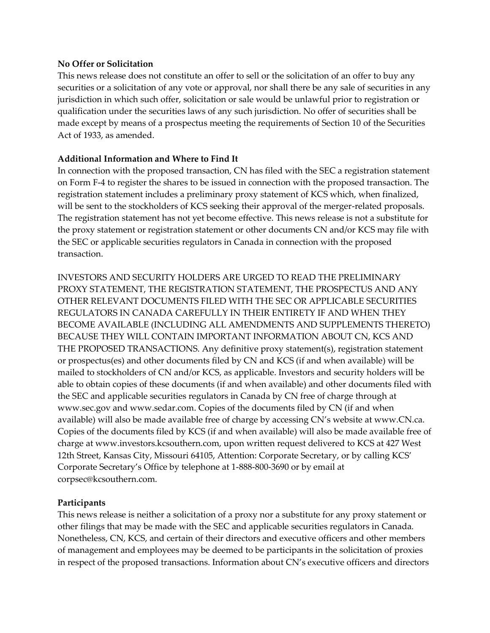#### **No Offer or Solicitation**

This news release does not constitute an offer to sell or the solicitation of an offer to buy any securities or a solicitation of any vote or approval, nor shall there be any sale of securities in any jurisdiction in which such offer, solicitation or sale would be unlawful prior to registration or qualification under the securities laws of any such jurisdiction. No offer of securities shall be made except by means of a prospectus meeting the requirements of Section 10 of the Securities Act of 1933, as amended.

### **Additional Information and Where to Find It**

In connection with the proposed transaction, CN has filed with the SEC a registration statement on Form F-4 to register the shares to be issued in connection with the proposed transaction. The registration statement includes a preliminary proxy statement of KCS which, when finalized, will be sent to the stockholders of KCS seeking their approval of the merger-related proposals. The registration statement has not yet become effective. This news release is not a substitute for the proxy statement or registration statement or other documents CN and/or KCS may file with the SEC or applicable securities regulators in Canada in connection with the proposed transaction.

INVESTORS AND SECURITY HOLDERS ARE URGED TO READ THE PRELIMINARY PROXY STATEMENT, THE REGISTRATION STATEMENT, THE PROSPECTUS AND ANY OTHER RELEVANT DOCUMENTS FILED WITH THE SEC OR APPLICABLE SECURITIES REGULATORS IN CANADA CAREFULLY IN THEIR ENTIRETY IF AND WHEN THEY BECOME AVAILABLE (INCLUDING ALL AMENDMENTS AND SUPPLEMENTS THERETO) BECAUSE THEY WILL CONTAIN IMPORTANT INFORMATION ABOUT CN, KCS AND THE PROPOSED TRANSACTIONS. Any definitive proxy statement(s), registration statement or prospectus(es) and other documents filed by CN and KCS (if and when available) will be mailed to stockholders of CN and/or KCS, as applicable. Investors and security holders will be able to obtain copies of these documents (if and when available) and other documents filed with the SEC and applicable securities regulators in Canada by CN free of charge through at www.sec.gov and www.sedar.com. Copies of the documents filed by CN (if and when available) will also be made available free of charge by accessing CN's website at www.CN.ca. Copies of the documents filed by KCS (if and when available) will also be made available free of charge at www.investors.kcsouthern.com, upon written request delivered to KCS at 427 West 12th Street, Kansas City, Missouri 64105, Attention: Corporate Secretary, or by calling KCS' Corporate Secretary's Office by telephone at 1-888-800-3690 or by email at corpsec@kcsouthern.com.

### **Participants**

This news release is neither a solicitation of a proxy nor a substitute for any proxy statement or other filings that may be made with the SEC and applicable securities regulators in Canada. Nonetheless, CN, KCS, and certain of their directors and executive officers and other members of management and employees may be deemed to be participants in the solicitation of proxies in respect of the proposed transactions. Information about CN's executive officers and directors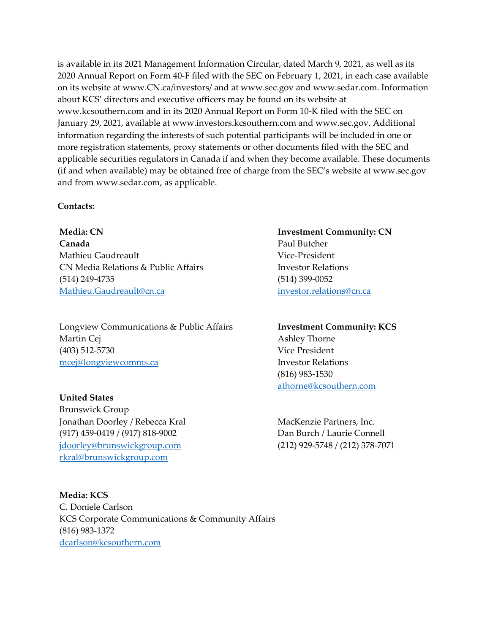is available in its 2021 Management Information Circular, dated March 9, 2021, as well as its 2020 Annual Report on Form 40-F filed with the SEC on February 1, 2021, in each case available on its website at www.CN.ca/investors/ and at www.sec.gov and www.sedar.com. Information about KCS' directors and executive officers may be found on its website at www.kcsouthern.com and in its 2020 Annual Report on Form 10-K filed with the SEC on January 29, 2021, available at www.investors.kcsouthern.com and www.sec.gov. Additional information regarding the interests of such potential participants will be included in one or more registration statements, proxy statements or other documents filed with the SEC and applicable securities regulators in Canada if and when they become available. These documents (if and when available) may be obtained free of charge from the SEC's website at www.sec.gov and from www.sedar.com, as applicable.

#### **Contacts:**

**Media: CN Canada** Mathieu Gaudreault CN Media Relations & Public Affairs (514) 249-4735 [Mathieu.Gaudreault@cn.ca](mailto:Mathieu.Gaudreault@cn.ca)

Longview Communications & Public Affairs Martin Cej (403) 512-5730 [mcej@longviewcomms.ca](mailto:mcej@longviewcomms.ca)

**United States** Brunswick Group Jonathan Doorley / Rebecca Kral (917) 459-0419 / (917) 818-9002 [jdoorley@brunswickgroup.com](mailto:jdoorley@brunswickgroup.com) [rkral@brunswickgroup.com](mailto:rkral@brunswickgroup.com)

Paul Butcher Vice-President Investor Relations (514) 399-0052 [investor.relations@cn.ca](mailto:investor.relations@cn.ca)

**Investment Community: CN**

**Investment Community: KCS** Ashley Thorne Vice President Investor Relations (816) 983-1530

[athorne@kcsouthern.com](mailto:athorne@kcsouthern.com)

MacKenzie Partners, Inc. Dan Burch / Laurie Connell (212) 929-5748 / (212) 378-7071

**Media: KCS** C. Doniele Carlson KCS Corporate Communications & Community Affairs (816) 983-1372 [dcarlson@kcsouthern.com](mailto:dcarlson@kcsouthern.com)